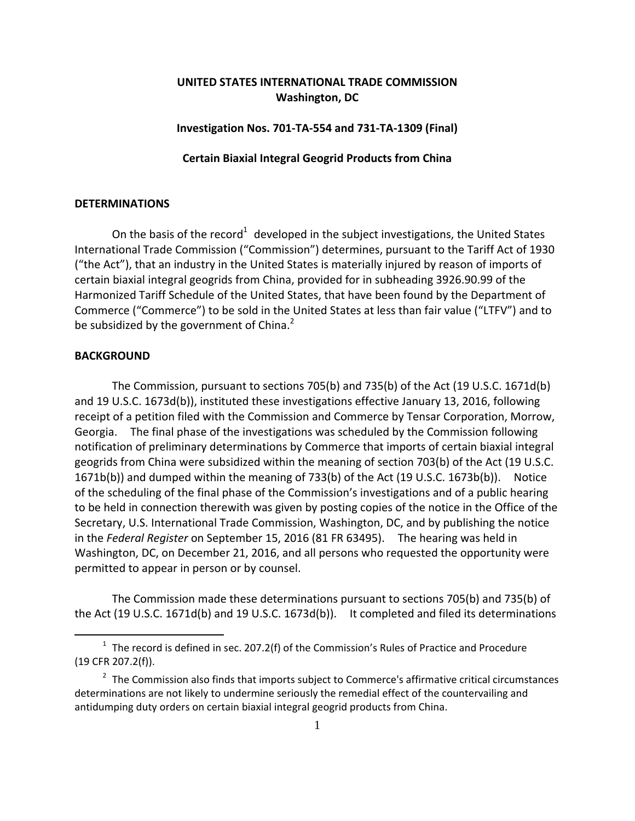# **UNITED STATES INTERNATIONAL TRADE COMMISSION Washington, DC**

## **Investigation Nos. 701‐TA‐554 and 731‐TA‐1309 (Final)**

## **Certain Biaxial Integral Geogrid Products from China**

## **DETERMINATIONS**

On the basis of the record<sup>1</sup> developed in the subject investigations, the United States International Trade Commission ("Commission") determines, pursuant to the Tariff Act of 1930 ("the Act"), that an industry in the United States is materially injured by reason of imports of certain biaxial integral geogrids from China, provided for in subheading 3926.90.99 of the Harmonized Tariff Schedule of the United States, that have been found by the Department of Commerce ("Commerce") to be sold in the United States at less than fair value ("LTFV") and to be subsidized by the government of China.<sup>2</sup>

## **BACKGROUND**

 $\overline{a}$ 

The Commission, pursuant to sections 705(b) and 735(b) of the Act (19 U.S.C. 1671d(b) and 19 U.S.C. 1673d(b)), instituted these investigations effective January 13, 2016, following receipt of a petition filed with the Commission and Commerce by Tensar Corporation, Morrow, Georgia. The final phase of the investigations was scheduled by the Commission following notification of preliminary determinations by Commerce that imports of certain biaxial integral geogrids from China were subsidized within the meaning of section 703(b) of the Act (19 U.S.C. 1671b(b)) and dumped within the meaning of 733(b) of the Act (19 U.S.C. 1673b(b)). Notice of the scheduling of the final phase of the Commission's investigations and of a public hearing to be held in connection therewith was given by posting copies of the notice in the Office of the Secretary, U.S. International Trade Commission, Washington, DC, and by publishing the notice in the *Federal Register* on September 15, 2016 (81 FR 63495). The hearing was held in Washington, DC, on December 21, 2016, and all persons who requested the opportunity were permitted to appear in person or by counsel.

The Commission made these determinations pursuant to sections 705(b) and 735(b) of the Act (19 U.S.C. 1671d(b) and 19 U.S.C. 1673d(b)). It completed and filed its determinations

 $1$  The record is defined in sec. 207.2(f) of the Commission's Rules of Practice and Procedure (19 CFR 207.2(f)).

 $2$  The Commission also finds that imports subject to Commerce's affirmative critical circumstances determinations are not likely to undermine seriously the remedial effect of the countervailing and antidumping duty orders on certain biaxial integral geogrid products from China.